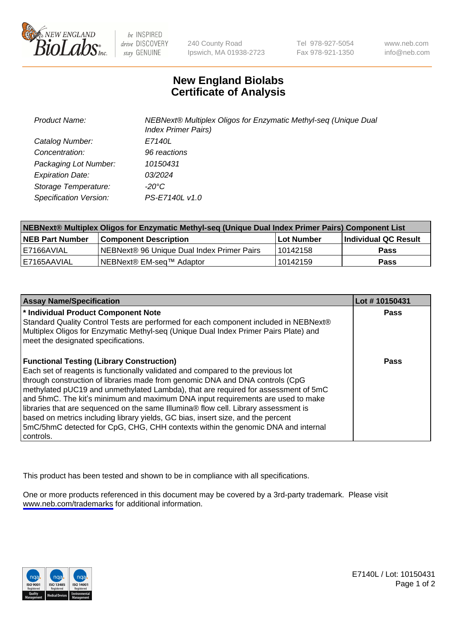

be INSPIRED drive DISCOVERY stay GENUINE

240 County Road Ipswich, MA 01938-2723 Tel 978-927-5054 Fax 978-921-1350

www.neb.com info@neb.com

## **New England Biolabs Certificate of Analysis**

| <b>Product Name:</b>    | NEBNext® Multiplex Oligos for Enzymatic Methyl-seq (Unique Dual<br><b>Index Primer Pairs)</b> |
|-------------------------|-----------------------------------------------------------------------------------------------|
| Catalog Number:         | E7140L                                                                                        |
| Concentration:          | 96 reactions                                                                                  |
| Packaging Lot Number:   | 10150431                                                                                      |
| <b>Expiration Date:</b> | 03/2024                                                                                       |
| Storage Temperature:    | -20°C                                                                                         |
| Specification Version:  | PS-E7140L v1.0                                                                                |

| NEBNext® Multiplex Oligos for Enzymatic Methyl-seq (Unique Dual Index Primer Pairs) Component List |                                            |            |                      |  |
|----------------------------------------------------------------------------------------------------|--------------------------------------------|------------|----------------------|--|
| <b>NEB Part Number</b>                                                                             | <b>Component Description</b>               | Lot Number | Individual QC Result |  |
| l E7166AVIAL                                                                                       | NEBNext® 96 Unique Dual Index Primer Pairs | 10142158   | Pass                 |  |
| I E7165AAVIAL                                                                                      | NEBNext® EM-sea™ Adaptor                   | 10142159   | <b>Pass</b>          |  |

| <b>Assay Name/Specification</b>                                                                                                                                                                                                                                                                                                                                                                                                                                                                                                                                                                                                                                             | Lot #10150431 |
|-----------------------------------------------------------------------------------------------------------------------------------------------------------------------------------------------------------------------------------------------------------------------------------------------------------------------------------------------------------------------------------------------------------------------------------------------------------------------------------------------------------------------------------------------------------------------------------------------------------------------------------------------------------------------------|---------------|
| * Individual Product Component Note<br>Standard Quality Control Tests are performed for each component included in NEBNext®<br>Multiplex Oligos for Enzymatic Methyl-seq (Unique Dual Index Primer Pairs Plate) and<br>meet the designated specifications.                                                                                                                                                                                                                                                                                                                                                                                                                  | <b>Pass</b>   |
| <b>Functional Testing (Library Construction)</b><br>Each set of reagents is functionally validated and compared to the previous lot<br>through construction of libraries made from genomic DNA and DNA controls (CpG<br>methylated pUC19 and unmethylated Lambda), that are required for assessment of 5mC<br>and 5hmC. The kit's minimum and maximum DNA input requirements are used to make<br>libraries that are sequenced on the same Illumina® flow cell. Library assessment is<br>based on metrics including library yields, GC bias, insert size, and the percent<br>5mC/5hmC detected for CpG, CHG, CHH contexts within the genomic DNA and internal<br>l controls. | Pass          |

This product has been tested and shown to be in compliance with all specifications.

One or more products referenced in this document may be covered by a 3rd-party trademark. Please visit <www.neb.com/trademarks>for additional information.